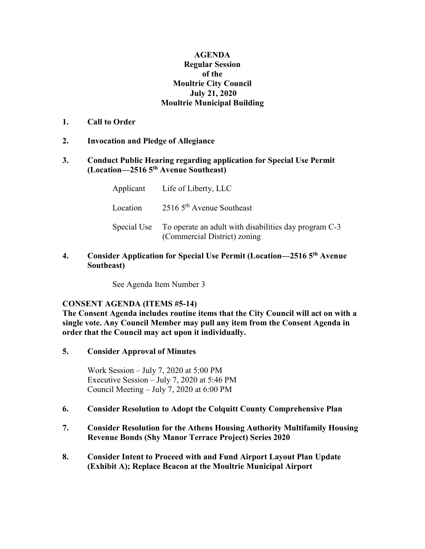### **AGENDA Regular Session of the Moultrie City Council July 21, 2020 Moultrie Municipal Building**

- **1. Call to Order**
- **2. Invocation and Pledge of Allegiance**

### **3. Conduct Public Hearing regarding application for Special Use Permit (Location—2516 5th Avenue Southeast)**

|          | Applicant Life of Liberty, LLC                                                                    |
|----------|---------------------------------------------------------------------------------------------------|
| Location | $25165^{\text{th}}$ Avenue Southeast                                                              |
|          | Special Use To operate an adult with disabilities day program C-3<br>(Commercial District) zoning |

# **4. Consider Application for Special Use Permit (Location—2516 5th Avenue Southeast)**

See Agenda Item Number 3

# **CONSENT AGENDA (ITEMS #5-14)**

**The Consent Agenda includes routine items that the City Council will act on with a single vote. Any Council Member may pull any item from the Consent Agenda in order that the Council may act upon it individually.**

**5. Consider Approval of Minutes**

Work Session – July 7, 2020 at 5:00 PM Executive Session – July 7, 2020 at 5:46 PM Council Meeting – July 7, 2020 at 6:00 PM

# **6. Consider Resolution to Adopt the Colquitt County Comprehensive Plan**

- **7. Consider Resolution for the Athens Housing Authority Multifamily Housing Revenue Bonds (Shy Manor Terrace Project) Series 2020**
- **8. Consider Intent to Proceed with and Fund Airport Layout Plan Update (Exhibit A); Replace Beacon at the Moultrie Municipal Airport**